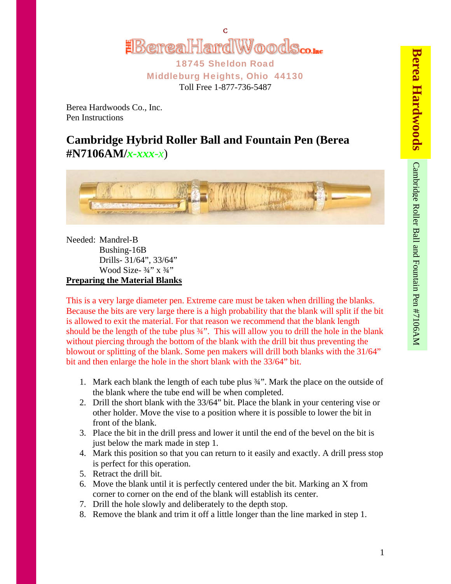

18745 Sheldon Road Middleburg Heights, Ohio 44130 Toll Free 1-877-736-5487

Berea Hardwoods Co., Inc. Pen Instructions

## **Cambridge Hybrid Roller Ball and Fountain Pen (Berea #N7106AM/***x-xxx-x*)



Needed: Mandrel-B Bushing-16B Drills- 31/64", 33/64" Wood Size- $\frac{3}{4}$ " x  $\frac{3}{4}$ " **Preparing the Material Blanks**

This is a very large diameter pen. Extreme care must be taken when drilling the blanks. Because the bits are very large there is a high probability that the blank will split if the bit is allowed to exit the material. For that reason we recommend that the blank length should be the length of the tube plus 3/4". This will allow you to drill the hole in the blank without piercing through the bottom of the blank with the drill bit thus preventing the blowout or splitting of the blank. Some pen makers will drill both blanks with the 31/64" bit and then enlarge the hole in the short blank with the 33/64" bit.

- 1. Mark each blank the length of each tube plus ¾". Mark the place on the outside of the blank where the tube end will be when completed.
- 2. Drill the short blank with the 33/64" bit. Place the blank in your centering vise or other holder. Move the vise to a position where it is possible to lower the bit in front of the blank.
- 3. Place the bit in the drill press and lower it until the end of the bevel on the bit is just below the mark made in step 1.
- 4. Mark this position so that you can return to it easily and exactly. A drill press stop is perfect for this operation.
- 5. Retract the drill bit.
- 6. Move the blank until it is perfectly centered under the bit. Marking an X from corner to corner on the end of the blank will establish its center.
- 7. Drill the hole slowly and deliberately to the depth stop.
- 8. Remove the blank and trim it off a little longer than the line marked in step 1.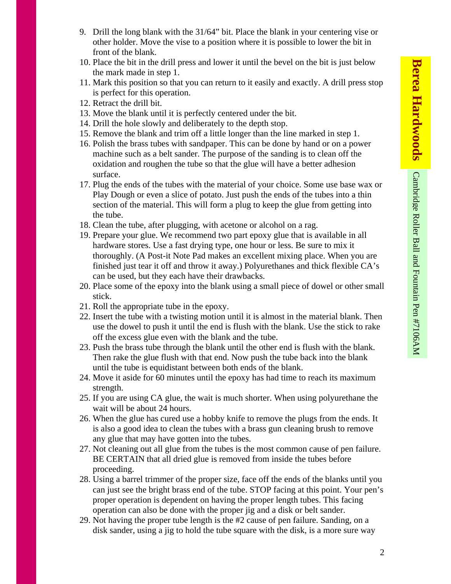- 9. Drill the long blank with the 31/64" bit. Place the blank in your centering vise or other holder. Move the vise to a position where it is possible to lower the bit in front of the blank.
- 10. Place the bit in the drill press and lower it until the bevel on the bit is just below the mark made in step 1.
- 11. Mark this position so that you can return to it easily and exactly. A drill press stop is perfect for this operation.
- 12. Retract the drill bit.
- 13. Move the blank until it is perfectly centered under the bit.
- 14. Drill the hole slowly and deliberately to the depth stop.
- 15. Remove the blank and trim off a little longer than the line marked in step 1.
- 16. Polish the brass tubes with sandpaper. This can be done by hand or on a power machine such as a belt sander. The purpose of the sanding is to clean off the oxidation and roughen the tube so that the glue will have a better adhesion surface.
- 17. Plug the ends of the tubes with the material of your choice. Some use base wax or Play Dough or even a slice of potato. Just push the ends of the tubes into a thin section of the material. This will form a plug to keep the glue from getting into the tube.
- 18. Clean the tube, after plugging, with acetone or alcohol on a rag.
- 19. Prepare your glue. We recommend two part epoxy glue that is available in all hardware stores. Use a fast drying type, one hour or less. Be sure to mix it thoroughly. (A Post-it Note Pad makes an excellent mixing place. When you are finished just tear it off and throw it away.) Polyurethanes and thick flexible CA's can be used, but they each have their drawbacks.
- 20. Place some of the epoxy into the blank using a small piece of dowel or other small stick.
- 21. Roll the appropriate tube in the epoxy.
- 22. Insert the tube with a twisting motion until it is almost in the material blank. Then use the dowel to push it until the end is flush with the blank. Use the stick to rake off the excess glue even with the blank and the tube.
- 23. Push the brass tube through the blank until the other end is flush with the blank. Then rake the glue flush with that end. Now push the tube back into the blank until the tube is equidistant between both ends of the blank.
- 24. Move it aside for 60 minutes until the epoxy has had time to reach its maximum strength.
- 25. If you are using CA glue, the wait is much shorter. When using polyurethane the wait will be about 24 hours.
- 26. When the glue has cured use a hobby knife to remove the plugs from the ends. It is also a good idea to clean the tubes with a brass gun cleaning brush to remove any glue that may have gotten into the tubes.
- 27. Not cleaning out all glue from the tubes is the most common cause of pen failure. BE CERTAIN that all dried glue is removed from inside the tubes before proceeding.
- 28. Using a barrel trimmer of the proper size, face off the ends of the blanks until you can just see the bright brass end of the tube. STOP facing at this point. Your pen's proper operation is dependent on having the proper length tubes. This facing operation can also be done with the proper jig and a disk or belt sander.
- 29. Not having the proper tube length is the #2 cause of pen failure. Sanding, on a disk sander, using a jig to hold the tube square with the disk, is a more sure way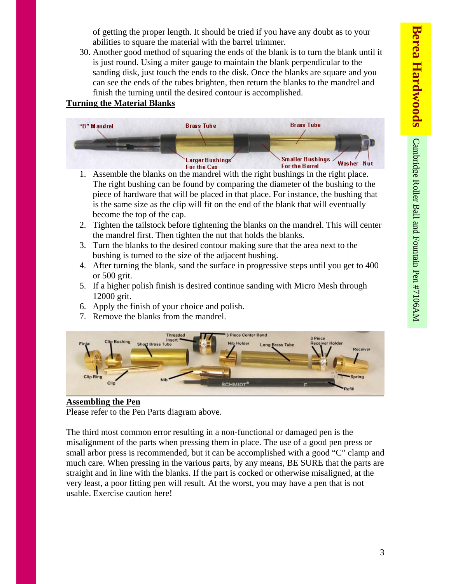of getting the proper length. It should be tried if you have any doubt as to your abilities to square the material with the barrel trimmer.

30. Another good method of squaring the ends of the blank is to turn the blank until it is just round. Using a miter gauge to maintain the blank perpendicular to the sanding disk, just touch the ends to the disk. Once the blanks are square and you can see the ends of the tubes brighten, then return the blanks to the mandrel and finish the turning until the desired contour is accomplished.

## **Turning the Material Blanks**



- 1. Assemble the blanks on the mandrel with the right bushings in the right place. The right bushing can be found by comparing the diameter of the bushing to the piece of hardware that will be placed in that place. For instance, the bushing that is the same size as the clip will fit on the end of the blank that will eventually become the top of the cap.
- 2. Tighten the tailstock before tightening the blanks on the mandrel. This will center the mandrel first. Then tighten the nut that holds the blanks.
- 3. Turn the blanks to the desired contour making sure that the area next to the bushing is turned to the size of the adjacent bushing.
- 4. After turning the blank, sand the surface in progressive steps until you get to 400 or 500 grit.
- 5. If a higher polish finish is desired continue sanding with Micro Mesh through 12000 grit.
- 6. Apply the finish of your choice and polish.
- 7. Remove the blanks from the mandrel.



## **Assembling the Pen**

Please refer to the Pen Parts diagram above.

The third most common error resulting in a non-functional or damaged pen is the misalignment of the parts when pressing them in place. The use of a good pen press or small arbor press is recommended, but it can be accomplished with a good "C" clamp and much care. When pressing in the various parts, by any means, BE SURE that the parts are straight and in line with the blanks. If the part is cocked or otherwise misaligned, at the very least, a poor fitting pen will result. At the worst, you may have a pen that is not usable. Exercise caution here!